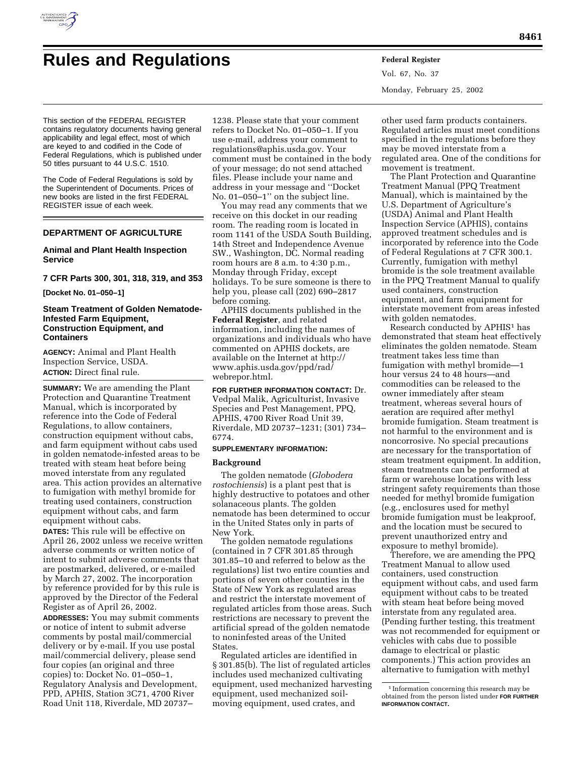

# **Rules and Regulations Federal Register**

**8461**

Vol. 67, No. 37 Monday, February 25, 2002

This section of the FEDERAL REGISTER contains regulatory documents having general applicability and legal effect, most of which are keyed to and codified in the Code of Federal Regulations, which is published under 50 titles pursuant to 44 U.S.C. 1510.

The Code of Federal Regulations is sold by the Superintendent of Documents. Prices of new books are listed in the first FEDERAL REGISTER issue of each week.

# **DEPARTMENT OF AGRICULTURE**

# **Animal and Plant Health Inspection Service**

## **7 CFR Parts 300, 301, 318, 319, and 353**

**[Docket No. 01–050–1]**

# **Steam Treatment of Golden Nematode-Infested Farm Equipment, Construction Equipment, and Containers**

**AGENCY:** Animal and Plant Health Inspection Service, USDA. **ACTION:** Direct final rule.

**SUMMARY:** We are amending the Plant Protection and Quarantine Treatment Manual, which is incorporated by reference into the Code of Federal Regulations, to allow containers, construction equipment without cabs, and farm equipment without cabs used in golden nematode-infested areas to be treated with steam heat before being moved interstate from any regulated area. This action provides an alternative to fumigation with methyl bromide for treating used containers, construction equipment without cabs, and farm equipment without cabs.

**DATES:** This rule will be effective on April 26, 2002 unless we receive written adverse comments or written notice of intent to submit adverse comments that are postmarked, delivered, or e-mailed by March 27, 2002. The incorporation by reference provided for by this rule is approved by the Director of the Federal Register as of April 26, 2002.

**ADDRESSES:** You may submit comments or notice of intent to submit adverse comments by postal mail/commercial delivery or by e-mail. If you use postal mail/commercial delivery, please send four copies (an original and three copies) to: Docket No. 01–050–1, Regulatory Analysis and Development, PPD, APHIS, Station 3C71, 4700 River Road Unit 118, Riverdale, MD 20737–

1238. Please state that your comment refers to Docket No. 01–050–1. If you use e-mail, address your comment to regulations@aphis.usda.gov. Your comment must be contained in the body of your message; do not send attached files. Please include your name and address in your message and ''Docket No. 01–050–1'' on the subject line.

You may read any comments that we receive on this docket in our reading room. The reading room is located in room 1141 of the USDA South Building, 14th Street and Independence Avenue SW., Washington, DC. Normal reading room hours are 8 a.m. to 4:30 p.m., Monday through Friday, except holidays. To be sure someone is there to help you, please call (202) 690–2817 before coming.

APHIS documents published in the **Federal Register**, and related information, including the names of organizations and individuals who have commented on APHIS dockets, are available on the Internet at http:// www.aphis.usda.gov/ppd/rad/ webrepor.html.

**FOR FURTHER INFORMATION CONTACT:** Dr. Vedpal Malik, Agriculturist, Invasive Species and Pest Management, PPQ, APHIS, 4700 River Road Unit 39, Riverdale, MD 20737–1231; (301) 734– 6774.

# **SUPPLEMENTARY INFORMATION:**

## **Background**

The golden nematode (*Globodera rostochiensis*) is a plant pest that is highly destructive to potatoes and other solanaceous plants. The golden nematode has been determined to occur in the United States only in parts of New York.

The golden nematode regulations (contained in 7 CFR 301.85 through 301.85–10 and referred to below as the regulations) list two entire counties and portions of seven other counties in the State of New York as regulated areas and restrict the interstate movement of regulated articles from those areas. Such restrictions are necessary to prevent the artificial spread of the golden nematode to noninfested areas of the United **States** 

Regulated articles are identified in § 301.85(b). The list of regulated articles includes used mechanized cultivating equipment, used mechanized harvesting equipment, used mechanized soilmoving equipment, used crates, and

other used farm products containers. Regulated articles must meet conditions specified in the regulations before they may be moved interstate from a regulated area. One of the conditions for movement is treatment.

The Plant Protection and Quarantine Treatment Manual (PPQ Treatment Manual), which is maintained by the U.S. Department of Agriculture's (USDA) Animal and Plant Health Inspection Service (APHIS), contains approved treatment schedules and is incorporated by reference into the Code of Federal Regulations at 7 CFR 300.1. Currently, fumigation with methyl bromide is the sole treatment available in the PPQ Treatment Manual to qualify used containers, construction equipment, and farm equipment for interstate movement from areas infested with golden nematodes.

Research conducted by APHIS1 has demonstrated that steam heat effectively eliminates the golden nematode. Steam treatment takes less time than fumigation with methyl bromide—1 hour versus 24 to 48 hours—and commodities can be released to the owner immediately after steam treatment, whereas several hours of aeration are required after methyl bromide fumigation. Steam treatment is not harmful to the environment and is noncorrosive. No special precautions are necessary for the transportation of steam treatment equipment. In addition, steam treatments can be performed at farm or warehouse locations with less stringent safety requirements than those needed for methyl bromide fumigation (e.g., enclosures used for methyl bromide fumigation must be leakproof, and the location must be secured to prevent unauthorized entry and exposure to methyl bromide).

Therefore, we are amending the PPQ Treatment Manual to allow used containers, used construction equipment without cabs, and used farm equipment without cabs to be treated with steam heat before being moved interstate from any regulated area. (Pending further testing, this treatment was not recommended for equipment or vehicles with cabs due to possible damage to electrical or plastic components.) This action provides an alternative to fumigation with methyl

<sup>1</sup> Information concerning this research may be obtained from the person listed under **FOR FURTHER INFORMATION CONTACT.**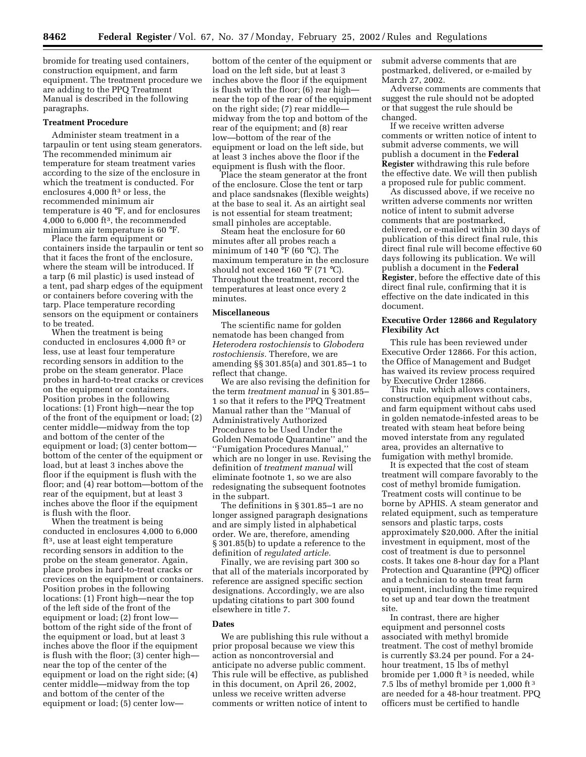bromide for treating used containers, construction equipment, and farm equipment. The treatment procedure we are adding to the PPQ Treatment Manual is described in the following paragraphs.

#### **Treatment Procedure**

Administer steam treatment in a tarpaulin or tent using steam generators. The recommended minimum air temperature for steam treatment varies according to the size of the enclosure in which the treatment is conducted. For enclosures 4,000 ft3 or less, the recommended minimum air temperature is 40 °F, and for enclosures  $4,000$  to 6,000 ft<sup>3</sup>, the recommended minimum air temperature is 60 °F.

Place the farm equipment or containers inside the tarpaulin or tent so that it faces the front of the enclosure, where the steam will be introduced. If a tarp (6 mil plastic) is used instead of a tent, pad sharp edges of the equipment or containers before covering with the tarp. Place temperature recording sensors on the equipment or containers to be treated.

When the treatment is being conducted in enclosures 4,000 ft3 or less, use at least four temperature recording sensors in addition to the probe on the steam generator. Place probes in hard-to-treat cracks or crevices on the equipment or containers. Position probes in the following locations: (1) Front high—near the top of the front of the equipment or load; (2) center middle—midway from the top and bottom of the center of the equipment or load; (3) center bottom bottom of the center of the equipment or load, but at least 3 inches above the floor if the equipment is flush with the floor; and (4) rear bottom—bottom of the rear of the equipment, but at least 3 inches above the floor if the equipment is flush with the floor.

When the treatment is being conducted in enclosures 4,000 to 6,000 ft3, use at least eight temperature recording sensors in addition to the probe on the steam generator. Again, place probes in hard-to-treat cracks or crevices on the equipment or containers. Position probes in the following locations: (1) Front high—near the top of the left side of the front of the equipment or load; (2) front low bottom of the right side of the front of the equipment or load, but at least 3 inches above the floor if the equipment is flush with the floor; (3) center high near the top of the center of the equipment or load on the right side; (4) center middle—midway from the top and bottom of the center of the equipment or load; (5) center low—

bottom of the center of the equipment or load on the left side, but at least 3 inches above the floor if the equipment is flush with the floor; (6) rear high near the top of the rear of the equipment on the right side; (7) rear middle midway from the top and bottom of the rear of the equipment; and (8) rear low—bottom of the rear of the equipment or load on the left side, but at least 3 inches above the floor if the equipment is flush with the floor.

Place the steam generator at the front of the enclosure. Close the tent or tarp and place sandsnakes (flexible weights) at the base to seal it. As an airtight seal is not essential for steam treatment; small pinholes are acceptable.

Steam heat the enclosure for 60 minutes after all probes reach a minimum of 140 °F (60 °C). The maximum temperature in the enclosure should not exceed 160 °F (71 °C). Throughout the treatment, record the temperatures at least once every 2 minutes.

# **Miscellaneous**

The scientific name for golden nematode has been changed from *Heterodera rostochiensis* to *Globodera rostochiensis.* Therefore, we are amending §§ 301.85(a) and 301.85–1 to reflect that change.

We are also revising the definition for the term *treatment manual* in § 301.85– 1 so that it refers to the PPQ Treatment Manual rather than the ''Manual of Administratively Authorized Procedures to be Used Under the Golden Nematode Quarantine'' and the ''Fumigation Procedures Manual,'' which are no longer in use. Revising the definition of *treatment manual* will eliminate footnote 1, so we are also redesignating the subsequent footnotes in the subpart.

The definitions in § 301.85–1 are no longer assigned paragraph designations and are simply listed in alphabetical order. We are, therefore, amending § 301.85(b) to update a reference to the definition of *regulated article.*

Finally, we are revising part 300 so that all of the materials incorporated by reference are assigned specific section designations. Accordingly, we are also updating citations to part 300 found elsewhere in title 7.

# **Dates**

We are publishing this rule without a prior proposal because we view this action as noncontroversial and anticipate no adverse public comment. This rule will be effective, as published in this document, on April 26, 2002, unless we receive written adverse comments or written notice of intent to

submit adverse comments that are postmarked, delivered, or e-mailed by March 27, 2002.

Adverse comments are comments that suggest the rule should not be adopted or that suggest the rule should be changed.

If we receive written adverse comments or written notice of intent to submit adverse comments, we will publish a document in the **Federal Register** withdrawing this rule before the effective date. We will then publish a proposed rule for public comment.

As discussed above, if we receive no written adverse comments nor written notice of intent to submit adverse comments that are postmarked, delivered, or e-mailed within 30 days of publication of this direct final rule, this direct final rule will become effective 60 days following its publication. We will publish a document in the **Federal Register**, before the effective date of this direct final rule, confirming that it is effective on the date indicated in this document.

# **Executive Order 12866 and Regulatory Flexibility Act**

This rule has been reviewed under Executive Order 12866. For this action, the Office of Management and Budget has waived its review process required by Executive Order 12866.

This rule, which allows containers, construction equipment without cabs, and farm equipment without cabs used in golden nematode-infested areas to be treated with steam heat before being moved interstate from any regulated area, provides an alternative to fumigation with methyl bromide.

It is expected that the cost of steam treatment will compare favorably to the cost of methyl bromide fumigation. Treatment costs will continue to be borne by APHIS. A steam generator and related equipment, such as temperature sensors and plastic tarps, costs approximately \$20,000. After the initial investment in equipment, most of the cost of treatment is due to personnel costs. It takes one 8-hour day for a Plant Protection and Quarantine (PPQ) officer and a technician to steam treat farm equipment, including the time required to set up and tear down the treatment site.

In contrast, there are higher equipment and personnel costs associated with methyl bromide treatment. The cost of methyl bromide is currently \$3.24 per pound. For a 24 hour treatment, 15 lbs of methyl bromide per 1,000 ft<sup>3</sup> is needed, while 7.5 lbs of methyl bromide per 1,000 ft 3 are needed for a 48-hour treatment. PPQ officers must be certified to handle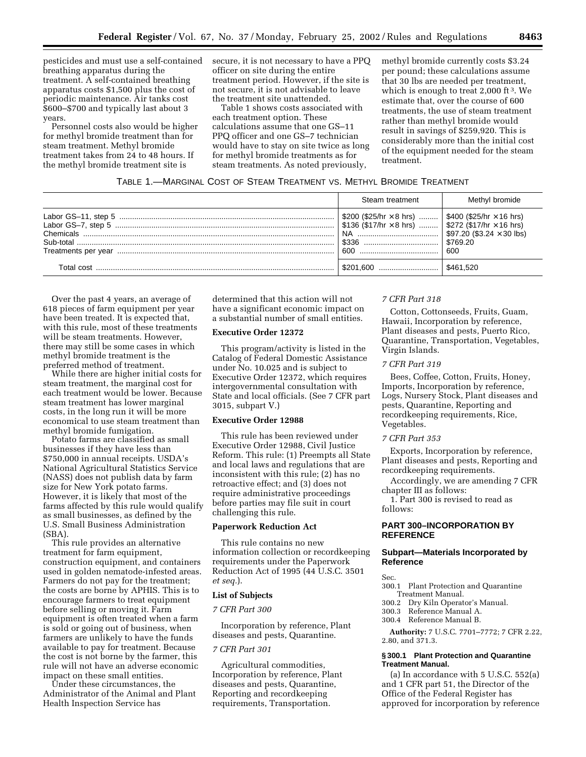pesticides and must use a self-contained breathing apparatus during the treatment. A self-contained breathing apparatus costs \$1,500 plus the cost of periodic maintenance. Air tanks cost \$600–\$700 and typically last about 3 years.

Personnel costs also would be higher for methyl bromide treatment than for steam treatment. Methyl bromide treatment takes from 24 to 48 hours. If the methyl bromide treatment site is

secure, it is not necessary to have a PPQ officer on site during the entire treatment period. However, if the site is not secure, it is not advisable to leave the treatment site unattended.

Table 1 shows costs associated with each treatment option. These calculations assume that one GS–11 PPQ officer and one GS–7 technician would have to stay on site twice as long for methyl bromide treatments as for steam treatments. As noted previously,

methyl bromide currently costs \$3.24 per pound; these calculations assume that 30 lbs are needed per treatment, which is enough to treat  $2,000$  ft<sup>3</sup>. We estimate that, over the course of 600 treatments, the use of steam treatment rather than methyl bromide would result in savings of \$259,920. This is considerably more than the initial cost of the equipment needed for the steam treatment.

| Steam treatment                                                                                                                             | Methyl bromide |
|---------------------------------------------------------------------------------------------------------------------------------------------|----------------|
| \$200 (\$25/hr $\times$ 8 hrs)    \$400 (\$25/hr $\times$ 16 hrs)<br>$ \$136 \ (\$17/hr \times 8 hrs) \    \$272 \ (\$17/hr \times 16 hrs)$ | \$769.20       |
|                                                                                                                                             | 600            |
|                                                                                                                                             |                |

Over the past 4 years, an average of 618 pieces of farm equipment per year have been treated. It is expected that, with this rule, most of these treatments will be steam treatments. However, there may still be some cases in which methyl bromide treatment is the preferred method of treatment.

While there are higher initial costs for steam treatment, the marginal cost for each treatment would be lower. Because steam treatment has lower marginal costs, in the long run it will be more economical to use steam treatment than methyl bromide fumigation.

Potato farms are classified as small businesses if they have less than \$750,000 in annual receipts. USDA's National Agricultural Statistics Service (NASS) does not publish data by farm size for New York potato farms. However, it is likely that most of the farms affected by this rule would qualify as small businesses, as defined by the U.S. Small Business Administration (SBA).

This rule provides an alternative treatment for farm equipment, construction equipment, and containers used in golden nematode-infested areas. Farmers do not pay for the treatment; the costs are borne by APHIS. This is to encourage farmers to treat equipment before selling or moving it. Farm equipment is often treated when a farm is sold or going out of business, when farmers are unlikely to have the funds available to pay for treatment. Because the cost is not borne by the farmer, this rule will not have an adverse economic impact on these small entities.

Under these circumstances, the Administrator of the Animal and Plant Health Inspection Service has

determined that this action will not have a significant economic impact on a substantial number of small entities.

## **Executive Order 12372**

This program/activity is listed in the Catalog of Federal Domestic Assistance under No. 10.025 and is subject to Executive Order 12372, which requires intergovernmental consultation with State and local officials. (See 7 CFR part 3015, subpart V.)

# **Executive Order 12988**

This rule has been reviewed under Executive Order 12988, Civil Justice Reform. This rule: (1) Preempts all State and local laws and regulations that are inconsistent with this rule; (2) has no retroactive effect; and (3) does not require administrative proceedings before parties may file suit in court challenging this rule.

# **Paperwork Reduction Act**

This rule contains no new information collection or recordkeeping requirements under the Paperwork Reduction Act of 1995 (44 U.S.C. 3501 *et seq.*).

# **List of Subjects**

# *7 CFR Part 300*

Incorporation by reference, Plant diseases and pests, Quarantine.

# *7 CFR Part 301*

Agricultural commodities, Incorporation by reference, Plant diseases and pests, Quarantine, Reporting and recordkeeping requirements, Transportation.

## *7 CFR Part 318*

Cotton, Cottonseeds, Fruits, Guam, Hawaii, Incorporation by reference, Plant diseases and pests, Puerto Rico, Quarantine, Transportation, Vegetables, Virgin Islands.

#### *7 CFR Part 319*

Bees, Coffee, Cotton, Fruits, Honey, Imports, Incorporation by reference, Logs, Nursery Stock, Plant diseases and pests, Quarantine, Reporting and recordkeeping requirements, Rice, Vegetables.

## *7 CFR Part 353*

Exports, Incorporation by reference, Plant diseases and pests, Reporting and recordkeeping requirements.

Accordingly, we are amending 7 CFR chapter III as follows:

1. Part 300 is revised to read as follows:

# **PART 300–INCORPORATION BY REFERENCE**

# **Subpart—Materials Incorporated by Reference**

Sec.

- 300.1 Plant Protection and Quarantine Treatment Manual.
- 300.2 Dry Kiln Operator's Manual.
- 300.3 Reference Manual A.
- 300.4 Reference Manual B.

**Authority:** 7 U.S.C. 7701–7772; 7 CFR 2.22, 2.80, and 371.3.

## **§ 300.1 Plant Protection and Quarantine Treatment Manual.**

(a) In accordance with 5 U.S.C. 552(a) and 1 CFR part 51, the Director of the Office of the Federal Register has approved for incorporation by reference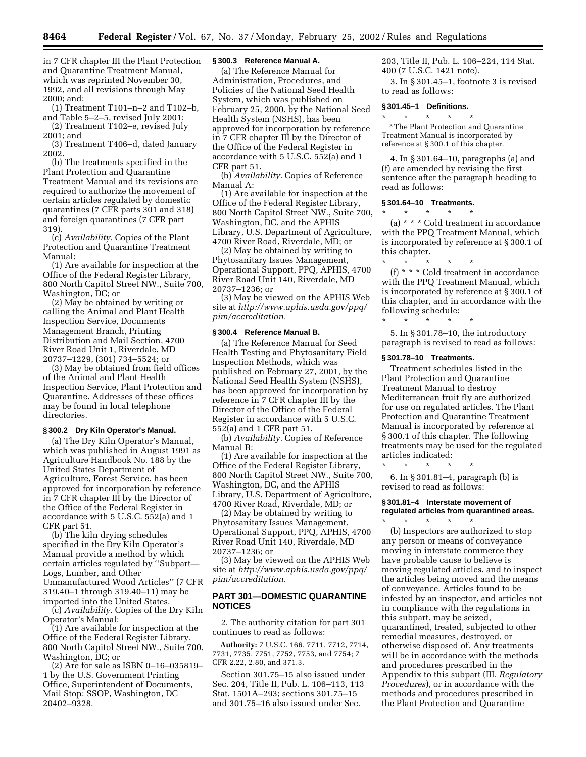**8464 Federal Register** / Vol. 67, No. 37 / Monday, February 25, 2002 / Rules and Regulations

in 7 CFR chapter III the Plant Protection and Quarantine Treatment Manual, which was reprinted November 30, 1992, and all revisions through May 2000; and:

(1) Treatment T101–n–2 and T102–b, and Table 5–2–5, revised July 2001; (2) Treatment T102–e, revised July

2001; and

(3) Treatment T406–d, dated January 2002.

(b) The treatments specified in the Plant Protection and Quarantine Treatment Manual and its revisions are required to authorize the movement of certain articles regulated by domestic quarantines (7 CFR parts 301 and 318) and foreign quarantines (7 CFR part 319).

(c) *Availability.* Copies of the Plant Protection and Quarantine Treatment Manual:

(1) Are available for inspection at the Office of the Federal Register Library, 800 North Capitol Street NW., Suite 700, Washington, DC; or

(2) May be obtained by writing or calling the Animal and Plant Health Inspection Service, Documents Management Branch, Printing Distribution and Mail Section, 4700 River Road Unit 1, Riverdale, MD 20737–1229, (301) 734–5524; or

(3) May be obtained from field offices of the Animal and Plant Health Inspection Service, Plant Protection and Quarantine. Addresses of these offices may be found in local telephone directories.

# **§ 300.2 Dry Kiln Operator's Manual.**

(a) The Dry Kiln Operator's Manual, which was published in August 1991 as Agriculture Handbook No. 188 by the United States Department of Agriculture, Forest Service, has been approved for incorporation by reference in 7 CFR chapter III by the Director of the Office of the Federal Register in accordance with 5 U.S.C. 552(a) and 1 CFR part 51.

(b) The kiln drying schedules specified in the Dry Kiln Operator's Manual provide a method by which certain articles regulated by ''Subpart— Logs, Lumber, and Other Unmanufactured Wood Articles'' (7 CFR 319.40–1 through 319.40–11) may be imported into the United States.

(c) *Availability.* Copies of the Dry Kiln Operator's Manual:

(1) Are available for inspection at the Office of the Federal Register Library, 800 North Capitol Street NW., Suite 700, Washington, DC; or

(2) Are for sale as ISBN 0–16–035819– 1 by the U.S. Government Printing Office, Superintendent of Documents, Mail Stop: SSOP, Washington, DC 20402–9328.

# **§ 300.3 Reference Manual A.**

(a) The Reference Manual for Administration, Procedures, and Policies of the National Seed Health System, which was published on February 25, 2000, by the National Seed Health System (NSHS), has been approved for incorporation by reference in 7 CFR chapter III by the Director of the Office of the Federal Register in accordance with 5 U.S.C. 552(a) and 1 CFR part 51.

(b) *Availability.* Copies of Reference Manual A:

(1) Are available for inspection at the Office of the Federal Register Library, 800 North Capitol Street NW., Suite 700, Washington, DC, and the APHIS Library, U.S. Department of Agriculture, 4700 River Road, Riverdale, MD; or

(2) May be obtained by writing to Phytosanitary Issues Management, Operational Support, PPQ, APHIS, 4700 River Road Unit 140, Riverdale, MD 20737–1236; or

(3) May be viewed on the APHIS Web site at *http://www.aphis.usda.gov/ppq/ pim/accreditation.*

#### **§ 300.4 Reference Manual B.**

(a) The Reference Manual for Seed Health Testing and Phytosanitary Field Inspection Methods, which was published on February 27, 2001, by the National Seed Health System (NSHS), has been approved for incorporation by reference in 7 CFR chapter III by the Director of the Office of the Federal Register in accordance with 5 U.S.C. 552(a) and 1 CFR part 51.

(b) *Availability.* Copies of Reference Manual B:

(1) Are available for inspection at the Office of the Federal Register Library, 800 North Capitol Street NW., Suite 700, Washington, DC, and the APHIS Library, U.S. Department of Agriculture, 4700 River Road, Riverdale, MD; or

(2) May be obtained by writing to Phytosanitary Issues Management, Operational Support, PPQ, APHIS, 4700 River Road Unit 140, Riverdale, MD 20737–1236; or

(3) May be viewed on the APHIS Web site at *http://www.aphis.usda.gov/ppq/ pim/accreditation.*

# **PART 301—DOMESTIC QUARANTINE NOTICES**

2. The authority citation for part 301 continues to read as follows:

**Authority:** 7 U.S.C. 166, 7711, 7712, 7714, 7731, 7735, 7751, 7752, 7753, and 7754; 7 CFR 2.22, 2.80, and 371.3.

Section 301.75–15 also issued under Sec. 204, Title II, Pub. L. 106–113, 113 Stat. 1501A–293; sections 301.75–15 and 301.75–16 also issued under Sec.

203, Title II, Pub. L. 106–224, 114 Stat. 400 (7 U.S.C. 1421 note).

3. In § 301.45–1, footnote 3 is revised to read as follows:

## **§ 301.45–1 Definitions.** \* \* \* \* \*

3The Plant Protection and Quarantine Treatment Manual is incorporated by reference at § 300.1 of this chapter.

4. In § 301.64–10, paragraphs (a) and (f) are amended by revising the first sentence after the paragraph heading to read as follows:

#### **§ 301.64–10 Treatments.**

\* \* \* \* \*

(a) \* \* \* Cold treatment in accordance with the PPQ Treatment Manual, which is incorporated by reference at § 300.1 of this chapter.

\* \* \* \* \* (f) \* \* \* Cold treatment in accordance with the PPQ Treatment Manual, which is incorporated by reference at § 300.1 of this chapter, and in accordance with the following schedule:

5. In § 301.78–10, the introductory paragraph is revised to read as follows:

#### **§ 301.78–10 Treatments.**

\* \* \* \* \*

Treatment schedules listed in the Plant Protection and Quarantine Treatment Manual to destroy Mediterranean fruit fly are authorized for use on regulated articles. The Plant Protection and Quarantine Treatment Manual is incorporated by reference at § 300.1 of this chapter. The following treatments may be used for the regulated articles indicated:

\* \* \* \* \* 6. In § 301.81–4, paragraph (b) is revised to read as follows:

# **§ 301.81–4 Interstate movement of regulated articles from quarantined areas.** \* \* \* \* \*

(b) Inspectors are authorized to stop any person or means of conveyance moving in interstate commerce they have probable cause to believe is moving regulated articles, and to inspect the articles being moved and the means of conveyance. Articles found to be infested by an inspector, and articles not in compliance with the regulations in this subpart, may be seized, quarantined, treated, subjected to other remedial measures, destroyed, or otherwise disposed of. Any treatments will be in accordance with the methods and procedures prescribed in the Appendix to this subpart (III. *Regulatory Procedures*), or in accordance with the methods and procedures prescribed in the Plant Protection and Quarantine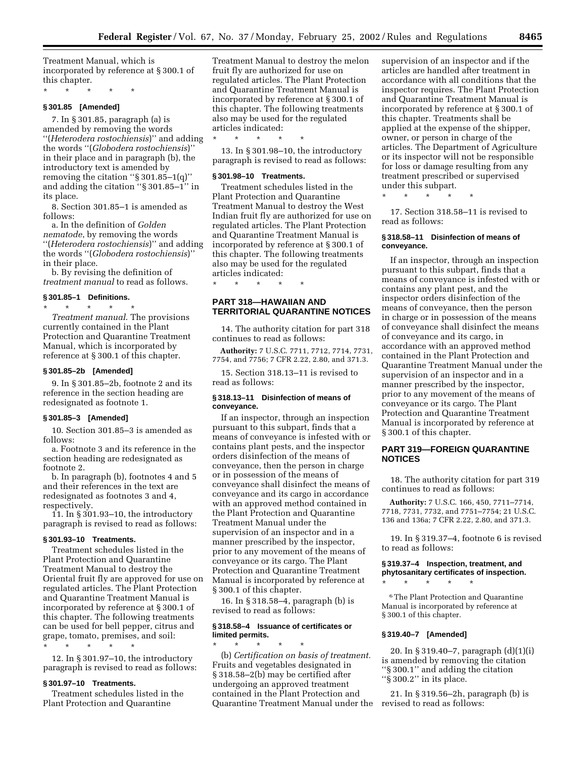Treatment Manual, which is incorporated by reference at § 300.1 of this chapter.

\* \* \* \* \*

#### **§ 301.85 [Amended]**

7. In § 301.85, paragraph (a) is amended by removing the words ''(*Heterodera rostochiensis*)'' and adding the words ''(*Globodera rostochiensis*)'' in their place and in paragraph (b), the introductory text is amended by removing the citation ''§ 301.85–1(q)'' and adding the citation ''§ 301.85–1'' in its place.

8. Section 301.85–1 is amended as follows:

a. In the definition of *Golden nematode*, by removing the words ''(*Heterodera rostochiensis*)'' and adding the words ''(*Globodera rostochiensis*)'' in their place.

b. By revising the definition of *treatment manual* to read as follows.

#### **§ 301.85–1 Definitions.**

\* \* \* \* \*

*Treatment manual*. The provisions currently contained in the Plant Protection and Quarantine Treatment Manual, which is incorporated by reference at § 300.1 of this chapter.

#### **§ 301.85–2b [Amended]**

9. In § 301.85–2b, footnote 2 and its reference in the section heading are redesignated as footnote 1.

#### **§ 301.85–3 [Amended]**

10. Section 301.85–3 is amended as follows:

a. Footnote 3 and its reference in the section heading are redesignated as footnote 2.

b. In paragraph (b), footnotes 4 and 5 and their references in the text are redesignated as footnotes 3 and 4, respectively.

11. In § 301.93–10, the introductory paragraph is revised to read as follows:

#### **§ 301.93–10 Treatments.**

Treatment schedules listed in the Plant Protection and Quarantine Treatment Manual to destroy the Oriental fruit fly are approved for use on regulated articles. The Plant Protection and Quarantine Treatment Manual is incorporated by reference at § 300.1 of this chapter. The following treatments can be used for bell pepper, citrus and grape, tomato, premises, and soil: \* \* \* \* \*

12. In § 301.97–10, the introductory paragraph is revised to read as follows:

#### **§ 301.97–10 Treatments.**

Treatment schedules listed in the Plant Protection and Quarantine

Treatment Manual to destroy the melon fruit fly are authorized for use on regulated articles. The Plant Protection and Quarantine Treatment Manual is incorporated by reference at § 300.1 of this chapter. The following treatments also may be used for the regulated articles indicated:

\* \* \* \* \* 13. In § 301.98–10, the introductory paragraph is revised to read as follows:

#### **§ 301.98–10 Treatments.**

Treatment schedules listed in the Plant Protection and Quarantine Treatment Manual to destroy the West Indian fruit fly are authorized for use on regulated articles. The Plant Protection and Quarantine Treatment Manual is incorporated by reference at § 300.1 of this chapter. The following treatments also may be used for the regulated articles indicated:

\* \* \* \* \*

# **PART 318—HAWAIIAN AND TERRITORIAL QUARANTINE NOTICES**

14. The authority citation for part 318 continues to read as follows:

**Authority:** 7 U.S.C. 7711, 7712, 7714, 7731, 7754, and 7756; 7 CFR 2.22, 2.80, and 371.3.

15. Section 318.13–11 is revised to read as follows:

# **§ 318.13–11 Disinfection of means of conveyance.**

If an inspector, through an inspection pursuant to this subpart, finds that a means of conveyance is infested with or contains plant pests, and the inspector orders disinfection of the means of conveyance, then the person in charge or in possession of the means of conveyance shall disinfect the means of conveyance and its cargo in accordance with an approved method contained in the Plant Protection and Quarantine Treatment Manual under the supervision of an inspector and in a manner prescribed by the inspector, prior to any movement of the means of conveyance or its cargo. The Plant Protection and Quarantine Treatment Manual is incorporated by reference at § 300.1 of this chapter.

16. In § 318.58–4, paragraph (b) is revised to read as follows:

## **§ 318.58–4 Issuance of certificates or limited permits.**

\* \* \* \* \* (b) *Certification on basis of treatment.* Fruits and vegetables designated in § 318.58–2(b) may be certified after undergoing an approved treatment contained in the Plant Protection and Quarantine Treatment Manual under the supervision of an inspector and if the articles are handled after treatment in accordance with all conditions that the inspector requires. The Plant Protection and Quarantine Treatment Manual is incorporated by reference at § 300.1 of this chapter. Treatments shall be applied at the expense of the shipper, owner, or person in charge of the articles. The Department of Agriculture or its inspector will not be responsible for loss or damage resulting from any treatment prescribed or supervised under this subpart.

\* \* \* \* \*

17. Section 318.58–11 is revised to read as follows:

## **§ 318.58–11 Disinfection of means of conveyance.**

If an inspector, through an inspection pursuant to this subpart, finds that a means of conveyance is infested with or contains any plant pest, and the inspector orders disinfection of the means of conveyance, then the person in charge or in possession of the means of conveyance shall disinfect the means of conveyance and its cargo, in accordance with an approved method contained in the Plant Protection and Quarantine Treatment Manual under the supervision of an inspector and in a manner prescribed by the inspector, prior to any movement of the means of conveyance or its cargo. The Plant Protection and Quarantine Treatment Manual is incorporated by reference at § 300.1 of this chapter.

# **PART 319—FOREIGN QUARANTINE NOTICES**

18. The authority citation for part 319 continues to read as follows:

**Authority:** 7 U.S.C. 166, 450, 7711–7714, 7718, 7731, 7732, and 7751–7754; 21 U.S.C. 136 and 136a; 7 CFR 2.22, 2.80, and 371.3.

19. In § 319.37–4, footnote 6 is revised to read as follows:

# **§ 319.37–4 Inspection, treatment, and phytosanitary certificates of inspection.**

\* \* \* \* \*

6The Plant Protection and Quarantine Manual is incorporated by reference at § 300.1 of this chapter.

## **§ 319.40–7 [Amended]**

20. In § 319.40–7, paragraph (d)(1)(i) is amended by removing the citation ''§ 300.1'' and adding the citation "§ 300.2" in its place.

21. In § 319.56–2h, paragraph (b) is revised to read as follows: